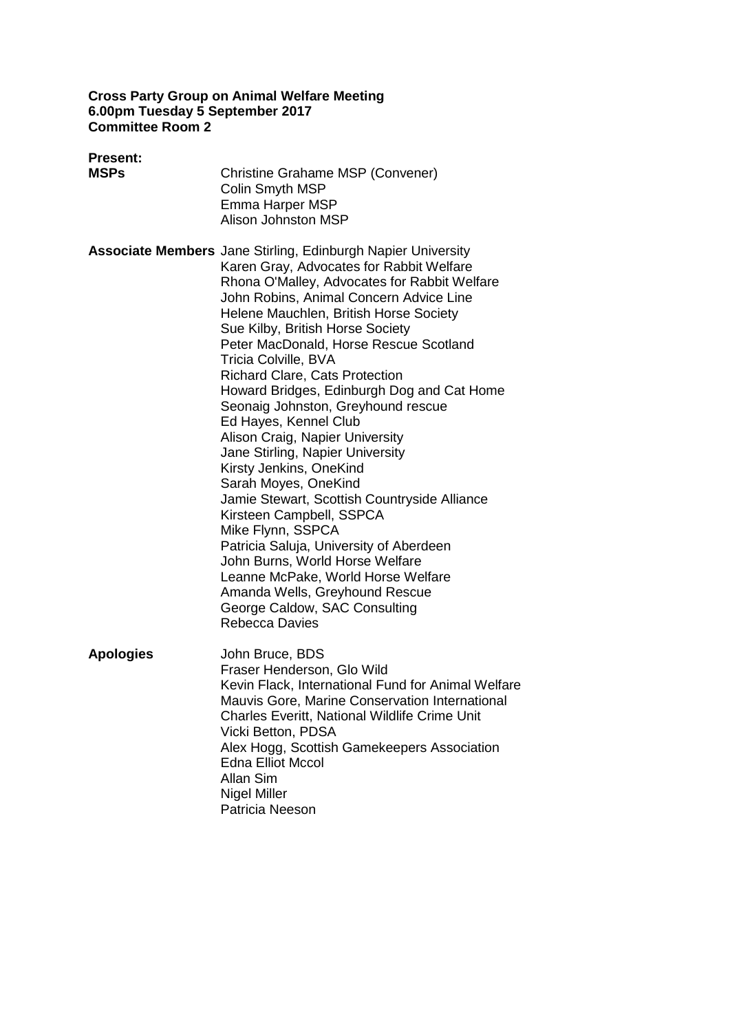#### **Cross Party Group on Animal Welfare Meeting 6.00pm Tuesday 5 September 2017 Committee Room 2**

| <b>Present:</b><br><b>MSPs</b> | <b>Christine Grahame MSP (Convener)</b><br>Colin Smyth MSP<br><b>Emma Harper MSP</b><br><b>Alison Johnston MSP</b>                                                                                                                                                                                                                                                                                                                                                                                                                                                                                                                                                                                                                                                                                                                                                                                                                                          |
|--------------------------------|-------------------------------------------------------------------------------------------------------------------------------------------------------------------------------------------------------------------------------------------------------------------------------------------------------------------------------------------------------------------------------------------------------------------------------------------------------------------------------------------------------------------------------------------------------------------------------------------------------------------------------------------------------------------------------------------------------------------------------------------------------------------------------------------------------------------------------------------------------------------------------------------------------------------------------------------------------------|
|                                | <b>Associate Members</b> Jane Stirling, Edinburgh Napier University<br>Karen Gray, Advocates for Rabbit Welfare<br>Rhona O'Malley, Advocates for Rabbit Welfare<br>John Robins, Animal Concern Advice Line<br>Helene Mauchlen, British Horse Society<br>Sue Kilby, British Horse Society<br>Peter MacDonald, Horse Rescue Scotland<br>Tricia Colville, BVA<br><b>Richard Clare, Cats Protection</b><br>Howard Bridges, Edinburgh Dog and Cat Home<br>Seonaig Johnston, Greyhound rescue<br>Ed Hayes, Kennel Club<br>Alison Craig, Napier University<br>Jane Stirling, Napier University<br>Kirsty Jenkins, OneKind<br>Sarah Moyes, OneKind<br>Jamie Stewart, Scottish Countryside Alliance<br>Kirsteen Campbell, SSPCA<br>Mike Flynn, SSPCA<br>Patricia Saluja, University of Aberdeen<br>John Burns, World Horse Welfare<br>Leanne McPake, World Horse Welfare<br>Amanda Wells, Greyhound Rescue<br>George Caldow, SAC Consulting<br><b>Rebecca Davies</b> |
| <b>Apologies</b>               | John Bruce, BDS<br>Fraser Henderson, Glo Wild<br>Kevin Flack, International Fund for Animal Welfare<br>Mauvis Gore, Marine Conservation International<br>Charles Everitt, National Wildlife Crime Unit<br>Vicki Betton, PDSA<br>Alex Hogg, Scottish Gamekeepers Association<br><b>Edna Elliot Mccol</b><br>Allan Sim<br><b>Nigel Miller</b><br>Patricia Neeson                                                                                                                                                                                                                                                                                                                                                                                                                                                                                                                                                                                              |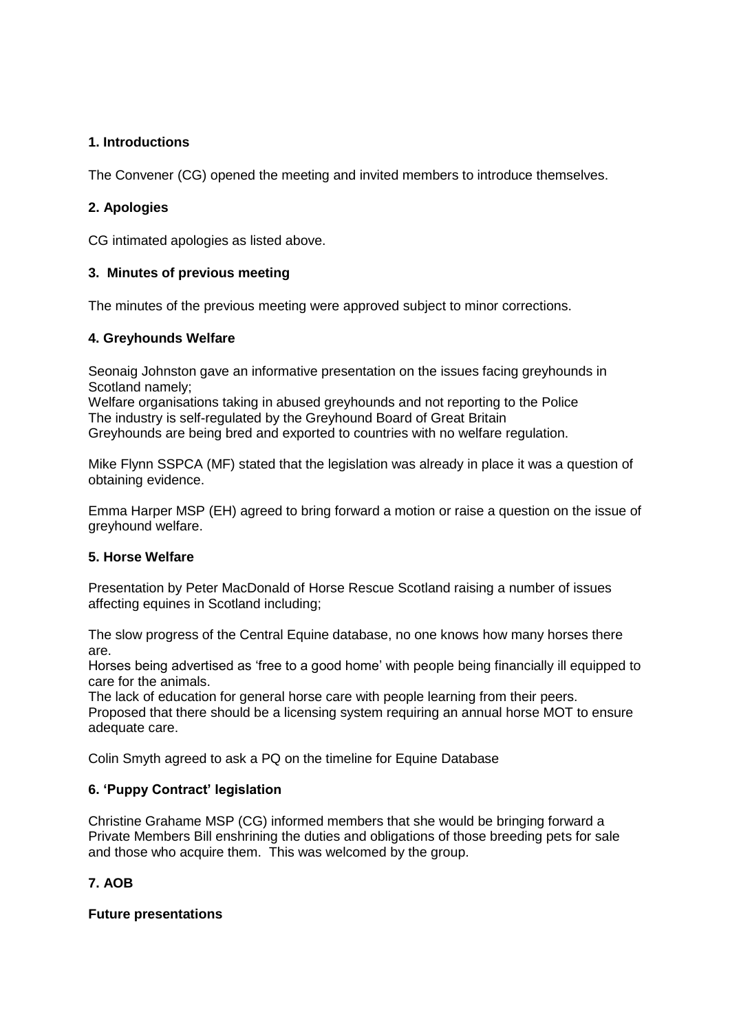### **1. Introductions**

The Convener (CG) opened the meeting and invited members to introduce themselves.

## **2. Apologies**

CG intimated apologies as listed above.

### **3. Minutes of previous meeting**

The minutes of the previous meeting were approved subject to minor corrections.

### **4. Greyhounds Welfare**

Seonaig Johnston gave an informative presentation on the issues facing greyhounds in Scotland namely;

Welfare organisations taking in abused greyhounds and not reporting to the Police The industry is self-regulated by the Greyhound Board of Great Britain Greyhounds are being bred and exported to countries with no welfare regulation.

Mike Flynn SSPCA (MF) stated that the legislation was already in place it was a question of obtaining evidence.

Emma Harper MSP (EH) agreed to bring forward a motion or raise a question on the issue of greyhound welfare.

### **5. Horse Welfare**

Presentation by Peter MacDonald of Horse Rescue Scotland raising a number of issues affecting equines in Scotland including;

The slow progress of the Central Equine database, no one knows how many horses there are.

Horses being advertised as 'free to a good home' with people being financially ill equipped to care for the animals.

The lack of education for general horse care with people learning from their peers. Proposed that there should be a licensing system requiring an annual horse MOT to ensure adequate care.

Colin Smyth agreed to ask a PQ on the timeline for Equine Database

### **6. 'Puppy Contract' legislation**

Christine Grahame MSP (CG) informed members that she would be bringing forward a Private Members Bill enshrining the duties and obligations of those breeding pets for sale and those who acquire them. This was welcomed by the group.

# **7. AOB**

### **Future presentations**